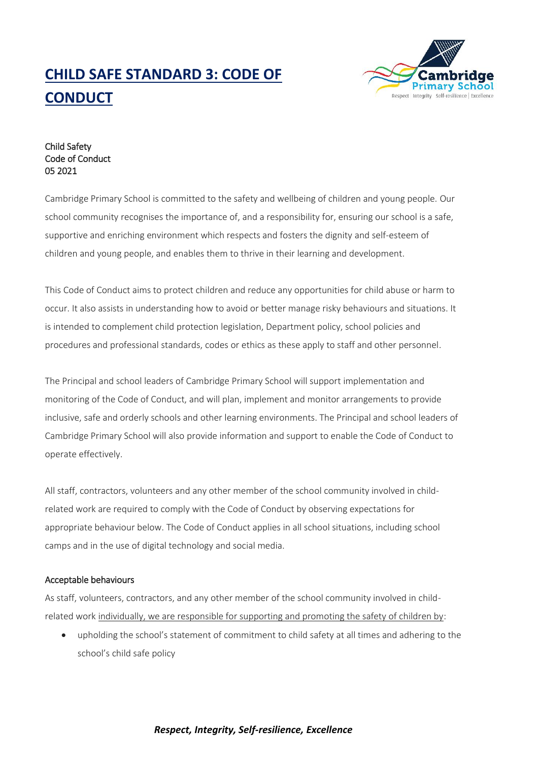# **CHILD SAFE STANDARD 3: CODE OF CONDUCT**



Child Safety Code of Conduct 05 2021

Cambridge Primary School is committed to the safety and wellbeing of children and young people. Our school community recognises the importance of, and a responsibility for, ensuring our school is a safe, supportive and enriching environment which respects and fosters the dignity and self-esteem of children and young people, and enables them to thrive in their learning and development.

This Code of Conduct aims to protect children and reduce any opportunities for child abuse or harm to occur. It also assists in understanding how to avoid or better manage risky behaviours and situations. It is intended to complement child protection legislation, Department policy, school policies and procedures and professional standards, codes or ethics as these apply to staff and other personnel.

The Principal and school leaders of Cambridge Primary School will support implementation and monitoring of the Code of Conduct, and will plan, implement and monitor arrangements to provide inclusive, safe and orderly schools and other learning environments. The Principal and school leaders of Cambridge Primary School will also provide information and support to enable the Code of Conduct to operate effectively.

All staff, contractors, volunteers and any other member of the school community involved in childrelated work are required to comply with the Code of Conduct by observing expectations for appropriate behaviour below. The Code of Conduct applies in all school situations, including school camps and in the use of digital technology and social media.

### Acceptable behaviours

As staff, volunteers, contractors, and any other member of the school community involved in childrelated work individually, we are responsible for supporting and promoting the safety of children by:

 upholding the school's statement of commitment to child safety at all times and adhering to the school's child safe policy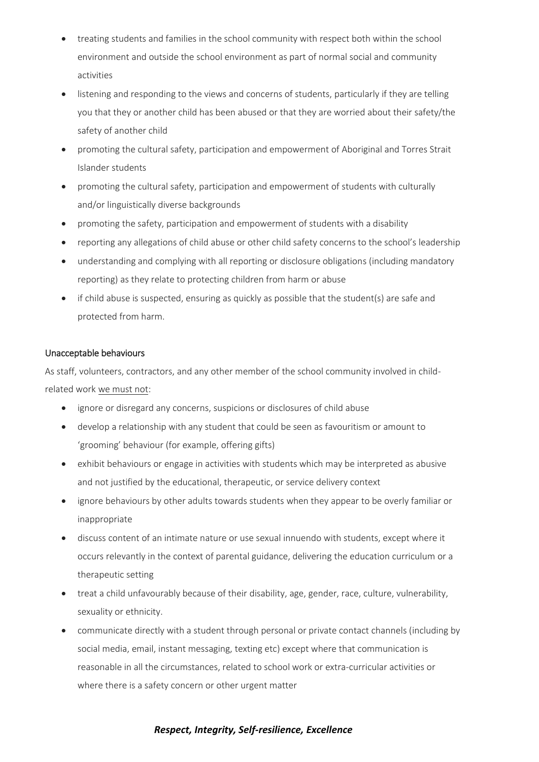- treating students and families in the school community with respect both within the school environment and outside the school environment as part of normal social and community activities
- listening and responding to the views and concerns of students, particularly if they are telling you that they or another child has been abused or that they are worried about their safety/the safety of another child
- promoting the cultural safety, participation and empowerment of Aboriginal and Torres Strait Islander students
- promoting the cultural safety, participation and empowerment of students with culturally and/or linguistically diverse backgrounds
- promoting the safety, participation and empowerment of students with a disability
- reporting any allegations of child abuse or other child safety concerns to the school's leadership
- understanding and complying with all reporting or disclosure obligations (including mandatory reporting) as they relate to protecting children from harm or abuse
- $\bullet$  if child abuse is suspected, ensuring as quickly as possible that the student(s) are safe and protected from harm.

### Unacceptable behaviours

As staff, volunteers, contractors, and any other member of the school community involved in childrelated work we must not:

- ignore or disregard any concerns, suspicions or disclosures of child abuse
- develop a relationship with any student that could be seen as favouritism or amount to 'grooming' behaviour (for example, offering gifts)
- exhibit behaviours or engage in activities with students which may be interpreted as abusive and not justified by the educational, therapeutic, or service delivery context
- ignore behaviours by other adults towards students when they appear to be overly familiar or inappropriate
- discuss content of an intimate nature or use sexual innuendo with students, except where it occurs relevantly in the context of parental guidance, delivering the education curriculum or a therapeutic setting
- treat a child unfavourably because of their disability, age, gender, race, culture, vulnerability, sexuality or ethnicity.
- communicate directly with a student through personal or private contact channels (including by social media, email, instant messaging, texting etc) except where that communication is reasonable in all the circumstances, related to school work or extra-curricular activities or where there is a safety concern or other urgent matter

## *Respect, Integrity, Self-resilience, Excellence*